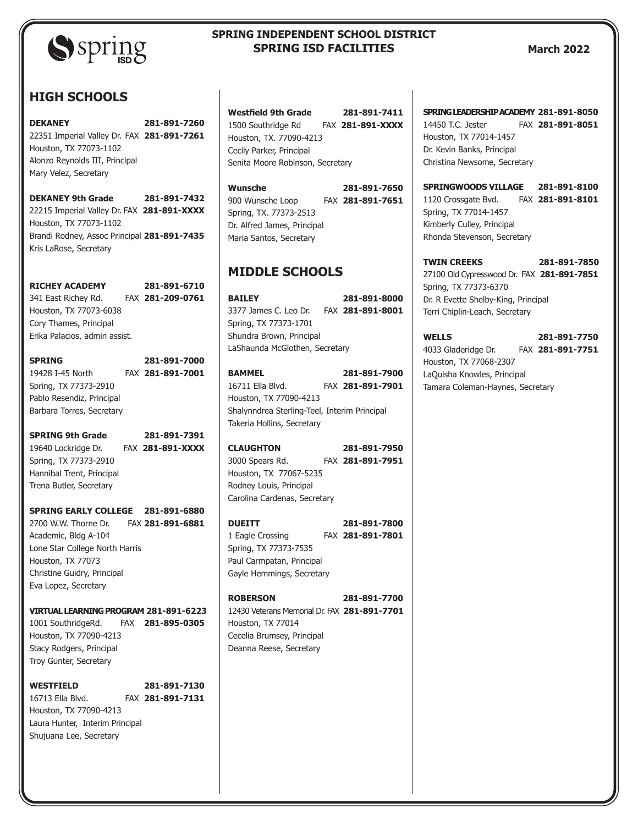

# **SPRING INDEPENDENT SCHOOL DISTRICT SPRING ISD FACILITIES**

#### **March 2022**

# **HIGH SCHOOLS**

**DEKANEY 281-891-7260** 22351 Imperial Valley Dr. FAX **281-891-7261** Houston, TX 77073-1102 Alonzo Reynolds III, Principal Mary Velez, Secretary

**DEKANEY 9th Grade 281-891-7432** 22215 Imperial Valley Dr. FAX **281-891-XXXX** Houston, TX 77073-1102 Brandi Rodney, Assoc Principal **281-891-7435** Kris LaRose, Secretary

**RICHEY ACADEMY 281-891-6710** 341 East Richey Rd. FAX **281-209-0761** Houston, TX 77073-6038 Cory Thames, Principal Erika Palacios, admin assist.

**SPRING 281-891-7000** 19428 I-45 North FAX **281-891-7001** Spring, TX 77373-2910 Pablo Resendiz, Principal Barbara Torres, Secretary

**SPRING 9th Grade 281-891-7391** 19640 Lockridge Dr. FAX **281-891-XXXX** Spring, TX 77373-2910 Hannibal Trent, Principal Trena Butler, Secretary

**SPRING EARLY COLLEGE 281-891-6880** 2700 W.W. Thorne Dr. FAX **281-891-6881** Academic, Bldg A-104 Lone Star College North Harris Houston, TX 77073 Christine Guidry, Principal Eva Lopez, Secretary

**VIRTUAL LEARNING PROGRAM 281-891-6223** 1001 SouthridgeRd. FAX **281-895-0305** Houston, TX 77090-4213 Stacy Rodgers, Principal Troy Gunter, Secretary

**WESTFIELD 281-891-7130** 16713 Ella Blvd. FAX **281-891-7131** Houston, TX 77090-4213 Laura Hunter, Interim Principal Shujuana Lee, Secretary

| <b>Westfield 9th Grade</b>       | 281-891-7411     |
|----------------------------------|------------------|
| 1500 Southridge Rd               | FAX 281-891-XXXX |
| Houston, TX, 77090-4213          |                  |
| Cecily Parker, Principal         |                  |
| Senita Moore Robinson, Secretary |                  |

| Wunsche                     | 281-891-7650     |
|-----------------------------|------------------|
| 900 Wunsche Loop            | FAX 281-891-7651 |
| Spring, TX. 77373-2513      |                  |
| Dr. Alfred James, Principal |                  |
| Maria Santos, Secretary     |                  |

# **MIDDLE SCHOOLS**

**BAILEY 281-891-8000** 3377 James C. Leo Dr. FAX **281-891-8001** Spring, TX 77373-1701 Shundra Brown, Principal LaShaunda McGlothen, Secretary

**BAMMEL 281-891-7900** 16711 Ella Blvd. FAX **281-891-7901** Houston, TX 77090-4213 Shalynndrea Sterling-Teel, Interim Principal Takeria Hollins, Secretary

**CLAUGHTON 281-891-7950** 3000 Spears Rd. FAX **281-891-7951** Houston, TX 77067-5235 Rodney Louis, Principal Carolina Cardenas, Secretary

**DUEITT 281-891-7800** 1 Eagle Crossing FAX **281-891-7801** Spring, TX 77373-7535 Paul Carmpatan, Principal Gayle Hemmings, Secretary

| <b>ROBERSON</b>                              | 281-891-7700 |
|----------------------------------------------|--------------|
| 12430 Veterans Memorial Dr. FAX 281-891-7701 |              |
| Houston, TX 77014                            |              |
| Cecelia Brumsey, Principal                   |              |
| Deanna Reese, Secretary                      |              |

#### **SPRING LEADERSHIP ACADEMY 281-891-8050** 14450 T.C. Jester FAX **281-891-8051**

Houston, TX 77014-1457 Dr. Kevin Banks, Principal Christina Newsome, Secretary

**SPRINGWOODS VILLAGE 281-891-8100** 1120 Crossgate Bvd. FAX **281-891-8101** Spring, TX 77014-1457 Kimberly Culley, Principal Rhonda Stevenson, Secretary

**TWIN CREEKS 281-891-7850** 27100 Old Cypresswood Dr. FAX **281-891-7851** Spring, TX 77373-6370 Dr. R Evette Shelby-King, Principal Terri Chiplin-Leach, Secretary

**WELLS 281-891-7750** 4033 Gladeridge Dr. FAX **281-891-7751** Houston, TX 77068-2307 LaQuisha Knowles, Principal Tamara Coleman-Haynes, Secretary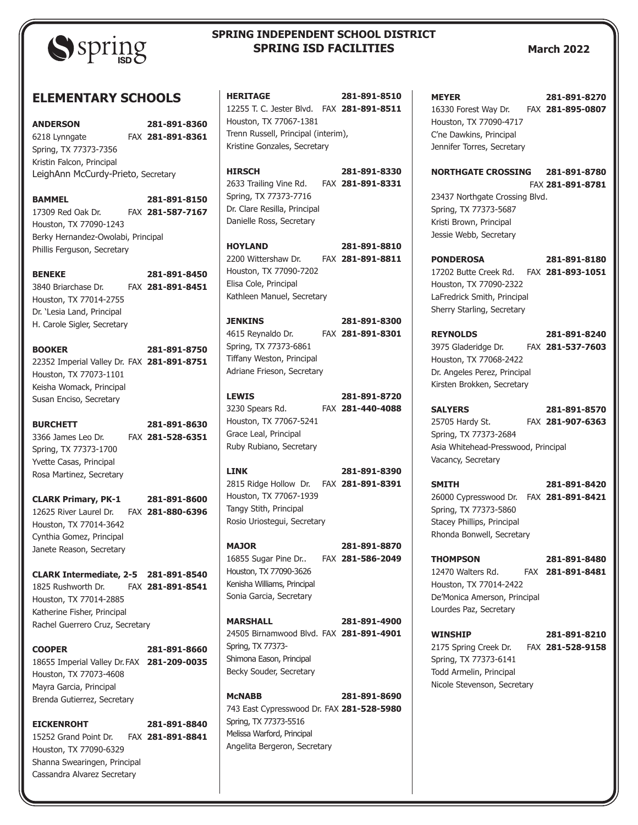

# **SPRING INDEPENDENT SCHOOL DISTRICT SPRING ISD FACILITIES**

#### **March 2022**

## **ELEMENTARY SCHOOLS**

**ANDERSON 281-891-8360** 6218 Lynngate FAX **281-891-8361** Spring, TX 77373-7356 Kristin Falcon, Principal LeighAnn McCurdy-Prieto, Secretary

**BAMMEL 281-891-8150** 17309 Red Oak Dr. FAX **281-587-7167** Houston, TX 77090-1243 Berky Hernandez-Owolabi, Principal Phillis Ferguson, Secretary

**BENEKE 281-891-8450** 3840 Briarchase Dr. FAX **281-891-8451** Houston, TX 77014-2755 Dr. 'Lesia Land, Principal H. Carole Sigler, Secretary

**BOOKER 281-891-8750** 22352 Imperial Valley Dr. FAX **281-891-8751** Houston, TX 77073-1101 Keisha Womack, Principal Susan Enciso, Secretary

**BURCHETT 281-891-8630** 3366 James Leo Dr. FAX **281-528-6351** Spring, TX 77373-1700 Yvette Casas, Principal Rosa Martinez, Secretary

**CLARK Primary, PK-1 281-891-8600** 12625 River Laurel Dr. FAX **281-880-6396** Houston, TX 77014-3642 Cynthia Gomez, Principal Janete Reason, Secretary

**CLARK Intermediate, 2-5 281-891-8540** 1825 Rushworth Dr. FAX **281-891-8541** Houston, TX 77014-2885 Katherine Fisher, Principal Rachel Guerrero Cruz, Secretary

**COOPER 281-891-8660** 18655 Imperial Valley Dr.FAX **281-209-0035** Houston, TX 77073-4608 Mayra Garcia, Principal Brenda Gutierrez, Secretary

**EICKENROHT 281-891-8840** 15252 Grand Point Dr. FAX **281-891-8841** Houston, TX 77090-6329 Shanna Swearingen, Principal Cassandra Alvarez Secretary

| <b>HERITAGE</b>                                                                                                                               |         | 281-891-8510                     |
|-----------------------------------------------------------------------------------------------------------------------------------------------|---------|----------------------------------|
| 12255 T. C. Jester Blvd. FAX 281-891-8511<br>Houston, TX 77067-1381                                                                           |         |                                  |
| Trenn Russell, Principal (interim),<br>Kristine Gonzales, Secretary                                                                           |         |                                  |
| <b>HIRSCH</b><br>2633 Trailing Vine Rd. FAX 281-891-8331<br>Spring, TX 77373-7716<br>Dr. Clare Resilla, Principal<br>Danielle Ross, Secretary |         | 281-891-8330                     |
| <b>HOYLAND</b><br>2200 Wittershaw Dr.<br>Houston, TX 77090-7202<br>Elisa Cole, Principal<br>Kathleen Manuel, Secretary                        |         | 281-891-8810<br>FAX 281-891-8811 |
| <b>JENKINS</b><br>4615 Reynaldo Dr.<br>Spring, TX 77373-6861<br>Tiffany Weston, Principal<br>Adriane Frieson, Secretary                       |         | 281-891-8300<br>FAX 281-891-8301 |
| <b>LEWIS</b><br>3230 Spears Rd.<br>Houston, TX 77067-5241<br>Grace Leal, Principal<br>Ruby Rubiano, Secretary                                 |         | 281-891-8720<br>FAX 281-440-4088 |
| LINK<br>2815 Ridge Hollow Dr. FAX 281-891-8391<br>Houston, TX 77067-1939<br>Tangy Stith, Principal<br>Rosio Uriostegui, Secretary             |         | 281-891-8390                     |
| <b>MAJOR</b>                                                                                                                                  | $-0.11$ | 281-891-8870                     |

16855 Sugar Pine Dr.. FAX **281-586-2049** Houston, TX 77090-3626 Kenisha Williams, Principal Sonia Garcia, Secretary

**MARSHALL 281-891-4900** 24505 Birnamwood Blvd. FAX **281-891-4901** Spring, TX 77373- Shimona Eason, Principal Becky Souder, Secretary

**McNABB 281-891-8690** 743 East Cypresswood Dr. FAX **281-528-5980** Spring, TX 77373-5516 Melissa Warford, Principal Angelita Bergeron, Secretary

**MEYER 281-891-8270** 16330 Forest Way Dr. FAX **281-895-0807** Houston, TX 77090-4717 C'ne Dawkins, Principal Jennifer Torres, Secretary

**NORTHGATE CROSSING 281-891-8780** FAX **281-891-8781**  23437 Northgate Crossing Blvd. Spring, TX 77373-5687 Kristi Brown, Principal Jessie Webb, Secretary

**PONDEROSA 281-891-8180** 17202 Butte Creek Rd. FAX **281-893-1051** Houston, TX 77090-2322 LaFredrick Smith, Principal Sherry Starling, Secretary

**REYNOLDS 281-891-8240** 3975 Gladeridge Dr. FAX **281-537-7603** Houston, TX 77068-2422 Dr. Angeles Perez, Principal Kirsten Brokken, Secretary

**SALYERS 281-891-8570** 25705 Hardy St. FAX **281-907-6363** Spring, TX 77373-2684 Asia Whitehead-Presswood, Principal Vacancy, Secretary

**SMITH 281-891-8420** 26000 Cypresswood Dr. FAX **281-891-8421** Spring, TX 77373-5860 Stacey Phillips, Principal Rhonda Bonwell, Secretary

**THOMPSON 281-891-8480** 12470 Walters Rd. FAX **281-891-8481** Houston, TX 77014-2422 De'Monica Amerson, Principal Lourdes Paz, Secretary

**WINSHIP 281-891-8210** 2175 Spring Creek Dr. FAX **281-528-9158** Spring, TX 77373-6141 Todd Armelin, Principal Nicole Stevenson, Secretary